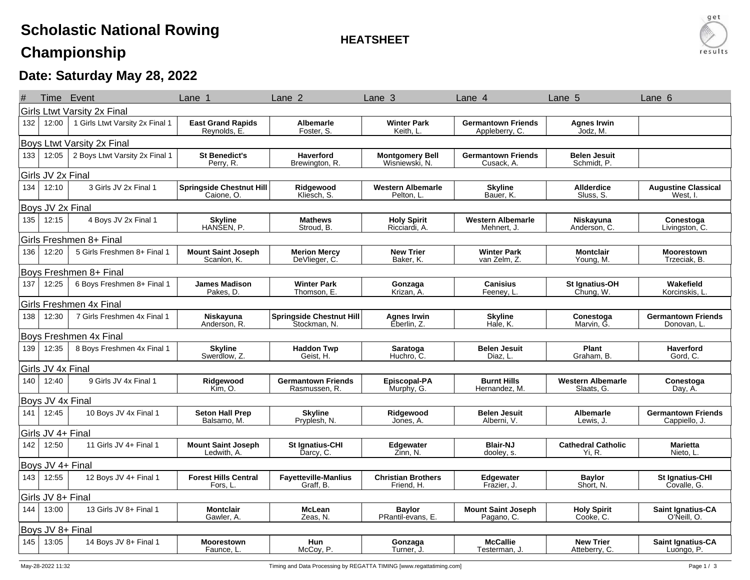## **Scholastic National Rowing**

**HEATSHEET**



## **Championship**

## **Date: Saturday May 28, 2022**

|                   |                                    | Time Event                      | Lane 1                                        | Lane <sub>2</sub>                               | Lane 3                                   | Lane 4                                      | Lane 5                                 | Lane <sub>6</sub>                         |  |
|-------------------|------------------------------------|---------------------------------|-----------------------------------------------|-------------------------------------------------|------------------------------------------|---------------------------------------------|----------------------------------------|-------------------------------------------|--|
|                   | <b>Girls Ltwt Varsity 2x Final</b> |                                 |                                               |                                                 |                                          |                                             |                                        |                                           |  |
| 132               | 12:00                              | 1 Girls Ltwt Varsity 2x Final 1 | <b>East Grand Rapids</b><br>Reynolds, E.      | <b>Albemarle</b><br>Foster, S.                  | <b>Winter Park</b><br>Keith, L.          | <b>Germantown Friends</b><br>Appleberry, C. | <b>Agnes Irwin</b><br>Jodz, M.         |                                           |  |
|                   | Boys Ltwt Varsity 2x Final         |                                 |                                               |                                                 |                                          |                                             |                                        |                                           |  |
| 133               | 12:05                              | 2 Boys Ltwt Varsity 2x Final 1  | <b>St Benedict's</b><br>Perry, R.             | <b>Haverford</b><br>Brewington, R.              | <b>Montgomery Bell</b><br>Wisniewski, N. | <b>Germantown Friends</b><br>Cusack, A.     | <b>Belen Jesuit</b><br>Schmidt, P.     |                                           |  |
|                   | Girls JV 2x Final                  |                                 |                                               |                                                 |                                          |                                             |                                        |                                           |  |
| 134               | 12:10                              | 3 Girls JV 2x Final 1           | <b>Springside Chestnut Hill</b><br>Caione, O. | Ridgewood<br>Kliesch, S.                        | <b>Western Albemarle</b><br>Pelton, L.   | <b>Skyline</b><br>Bauer, K.                 | <b>Allderdice</b><br>Sluss, S.         | <b>Augustine Classical</b><br>West. I.    |  |
|                   | Boys JV 2x Final                   |                                 |                                               |                                                 |                                          |                                             |                                        |                                           |  |
| 135               | 12:15                              | 4 Boys JV 2x Final 1            | <b>Skyline</b><br>HANŠEN, P.                  | <b>Mathews</b><br>Stroud, B.                    | <b>Holy Spirit</b><br>Ricciardi, A.      | <b>Western Albemarle</b><br>Mehnert, J.     | Niskayuna<br>Anderson, C               | Conestoga<br>Livingston, C.               |  |
|                   |                                    | Girls Freshmen 8+ Final         |                                               |                                                 |                                          |                                             |                                        |                                           |  |
| 136               | 12:20                              | 5 Girls Freshmen 8+ Final 1     | <b>Mount Saint Joseph</b><br>Scanlon, K.      | <b>Merion Mercy</b><br>DeVlieger, C.            | <b>New Trier</b><br>Baker, K.            | <b>Winter Park</b><br>van Zelm, Z.          | <b>Montclair</b><br>Young, M.          | <b>Moorestown</b><br>Trzeciak, B.         |  |
|                   |                                    | Boys Freshmen 8+ Final          |                                               |                                                 |                                          |                                             |                                        |                                           |  |
| 137               | 12:25                              | 6 Boys Freshmen 8+ Final 1      | <b>James Madison</b><br>Pakes, D.             | <b>Winter Park</b><br>Thomson, E.               | Gonzaga<br>Krizan, A.                    | <b>Canisius</b><br>Feenev. L                | St Ignatius-OH<br>Chung, W.            | Wakefield<br>Korcinskis, L                |  |
|                   |                                    | Girls Freshmen 4x Final         |                                               |                                                 |                                          |                                             |                                        |                                           |  |
| 138               | 12:30                              | 7 Girls Freshmen 4x Final 1     | Niskayuna<br>Anderson, R.                     | <b>Springside Chestnut Hill</b><br>Stockman, N. | <b>Agnes Irwin</b><br>Eberlin, Z.        | <b>Skyline</b><br>Hale, K.                  | Conestoga<br>Marvin, G.                | <b>Germantown Friends</b><br>Donovan, L.  |  |
|                   |                                    | <b>Boys Freshmen 4x Final</b>   |                                               |                                                 |                                          |                                             |                                        |                                           |  |
| 139               | 12:35                              | 8 Boys Freshmen 4x Final 1      | <b>Skyline</b><br>Swerdlow, Z.                | <b>Haddon Twp</b><br>Geist, H.                  | Saratoga<br>Huchro, C.                   | <b>Belen Jesuit</b><br>Diaz, L              | Plant<br>Graham, B.                    | <b>Haverford</b><br>Gord, C.              |  |
|                   | Girls JV 4x Final                  |                                 |                                               |                                                 |                                          |                                             |                                        |                                           |  |
| 140               | 12:40                              | 9 Girls JV 4x Final 1           | Ridgewood<br>Kim. O.                          | <b>Germantown Friends</b><br>Rasmussen, R.      | Episcopal-PA<br>Murphy, G.               | <b>Burnt Hills</b><br>Hernandez, M.         | <b>Western Albemarle</b><br>Slaats, G. | Conestoga<br>Day, A.                      |  |
|                   | Boys JV 4x Final                   |                                 |                                               |                                                 |                                          |                                             |                                        |                                           |  |
| 141               | 12:45                              | 10 Boys JV 4x Final 1           | <b>Seton Hall Prep</b><br>Balsamo, M.         | <b>Skyline</b><br>Pryplesh, N.                  | Ridgewood<br>Jones, A.                   | <b>Belen Jesuit</b><br>Alberni, V.          | <b>Albemarle</b><br>Lewis, J.          | <b>Germantown Friends</b><br>Cappiello, J |  |
| Girls JV 4+ Final |                                    |                                 |                                               |                                                 |                                          |                                             |                                        |                                           |  |
| 142               | 12:50                              | 11 Girls JV 4+ Final 1          | <b>Mount Saint Joseph</b><br>Ledwith, A.      | St Ignatius-CHI<br>Darcy, C.                    | Edgewater<br>Zinn. N.                    | <b>Blair-NJ</b><br>dooley, s.               | <b>Cathedral Catholic</b><br>Yi. R.    | <b>Marietta</b><br>Nieto, L.              |  |
| Boys JV 4+ Final  |                                    |                                 |                                               |                                                 |                                          |                                             |                                        |                                           |  |
| 143               | 12:55                              | 12 Boys JV 4+ Final 1           | <b>Forest Hills Central</b><br>Fors, L        | <b>Fayetteville-Manlius</b><br>Graff. B.        | <b>Christian Brothers</b><br>Friend. H.  | Edgewater<br>Frazier, J.                    | <b>Baylor</b><br>Short, N.             | <b>St Ignatius-CHI</b><br>Covalle, G.     |  |
|                   | Girls JV 8+ Final                  |                                 |                                               |                                                 |                                          |                                             |                                        |                                           |  |
| 144               | 13:00                              | 13 Girls JV 8+ Final 1          | <b>Montclair</b><br>Gawler, A.                | <b>McLean</b><br>Zeas, N.                       | <b>Baylor</b><br>PRantil-evans, E.       | <b>Mount Saint Joseph</b><br>Pagano, C.     | <b>Holy Spirit</b><br>Cooke, C.        | Saint Ignatius-CA<br>O'Neill, O.          |  |
|                   | Boys JV 8+ Final                   |                                 |                                               |                                                 |                                          |                                             |                                        |                                           |  |
| 145               | 13:05                              | 14 Boys JV 8+ Final 1           | <b>Moorestown</b><br>Faunce, L.               | <b>Hun</b><br>McCoy, P.                         | Gonzaga<br>Turner, J.                    | <b>McCallie</b><br>Testerman, J.            | <b>New Trier</b><br>Atteberry, C.      | <b>Saint Ignatius-CA</b><br>Luongo, P.    |  |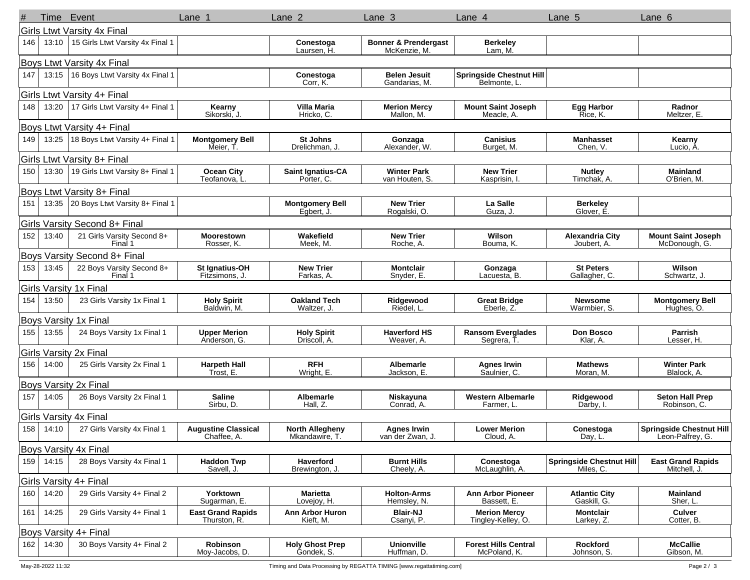|     | Time                        | Event                                 | Lane 1                                    | Lane <sub>2</sub>                        | Lane <sub>3</sub>                               | Lane 4                                          | Lane 5                                       | Lane <sub>6</sub>                                   |
|-----|-----------------------------|---------------------------------------|-------------------------------------------|------------------------------------------|-------------------------------------------------|-------------------------------------------------|----------------------------------------------|-----------------------------------------------------|
|     | Girls Ltwt Varsity 4x Final |                                       |                                           |                                          |                                                 |                                                 |                                              |                                                     |
| 146 | 13:10                       | 15 Girls Ltwt Varsity 4x Final 1      |                                           | Conestoga<br>Laursen, H.                 | <b>Bonner &amp; Prendergast</b><br>McKenzie, M. | <b>Berkeley</b><br>Lam, M.                      |                                              |                                                     |
|     |                             | <b>Boys Ltwt Varsity 4x Final</b>     |                                           |                                          |                                                 |                                                 |                                              |                                                     |
| 147 | 13:15                       | 16 Boys Ltwt Varsity 4x Final 1       |                                           | Conestoga<br>Corr, K.                    | <b>Belen Jesuit</b><br>Gandarias, M.            | <b>Springside Chestnut Hill</b><br>Belmonte, L. |                                              |                                                     |
|     |                             | Girls Ltwt Varsity 4+ Final           |                                           |                                          |                                                 |                                                 |                                              |                                                     |
| 148 | 13:20                       | 17 Girls Ltwt Varsity 4+ Final 1      | Kearny<br>Sikorski, J.                    | Villa Maria<br>Hricko, C.                | <b>Merion Mercy</b><br>Mallon, M.               | <b>Mount Saint Joseph</b><br>Meacle, A.         | <b>Egg Harbor</b><br>Rice, K.                | Radnor<br>Meltzer, E.                               |
|     |                             | Boys Ltwt Varsity 4+ Final            |                                           |                                          |                                                 |                                                 |                                              |                                                     |
| 149 | 13:25                       | 18 Boys Ltwt Varsity 4+ Final 1       | <b>Montgomery Bell</b><br>Meier, T.       | <b>St Johns</b><br>Drelichman, J.        | Gonzaga<br>Alexander. W.                        | <b>Canisius</b><br>Burget, M.                   | <b>Manhasset</b><br>Chen, V.                 | Kearny<br>Lucio, A.                                 |
|     |                             | Girls Ltwt Varsity 8+ Final           |                                           |                                          |                                                 |                                                 |                                              |                                                     |
| 150 | 13:30                       | 19 Girls Ltwt Varsity 8+ Final 1      | <b>Ocean City</b><br>Teofanova, L         | Saint Ignatius-CA<br>Porter, C.          | <b>Winter Park</b><br>van Houten, S.            | <b>New Trier</b><br>Kasprisin, I                | <b>Nutley</b><br>Timchak, A.                 | Mainland<br>O'Brien, M.                             |
|     |                             | Boys Ltwt Varsity 8+ Final            |                                           |                                          |                                                 |                                                 |                                              |                                                     |
| 151 | 13:35                       | 20 Boys Ltwt Varsity 8+ Final 1       |                                           | <b>Montgomery Bell</b><br>Egbert, J      | <b>New Trier</b><br>Rogalski, O.                | La Salle<br>Guza, J.                            | <b>Berkeley</b><br>Glover, E.                |                                                     |
|     |                             | Girls Varsity Second 8+ Final         |                                           |                                          |                                                 |                                                 |                                              |                                                     |
| 152 | 13:40                       | 21 Girls Varsity Second 8+<br>Final 1 | <b>Moorestown</b><br>Rosser, K.           | Wakefield<br>Meek, M.                    | <b>New Trier</b><br>Roche, A.                   | Wilson<br>Bouma, K.                             | <b>Alexandria City</b><br>Joubert, A.        | <b>Mount Saint Joseph</b><br>McDonough, G.          |
|     |                             | Boys Varsity Second 8+ Final          |                                           |                                          |                                                 |                                                 |                                              |                                                     |
| 153 | 13:45                       | 22 Boys Varsity Second 8+<br>Final 1  | St Ignatius-OH<br>Fitzsimons, J.          | <b>New Trier</b><br>Farkas, A.           | <b>Montclair</b><br>Snyder, E.                  | Gonzaga<br>Lacuesta, B.                         | <b>St Peters</b><br>Gallagher, C.            | Wilson<br>Schwartz, J.                              |
|     |                             | <b>Girls Varsity 1x Final</b>         |                                           |                                          |                                                 |                                                 |                                              |                                                     |
| 154 | 13:50                       | 23 Girls Varsity 1x Final 1           | <b>Holy Spirit</b><br>Baldwin, M.         | <b>Oakland Tech</b><br>Waltzer, J.       | Ridgewood<br>Riedel, L                          | <b>Great Bridge</b><br>Eberle, Z.               | <b>Newsome</b><br>Warmbier, S.               | <b>Montgomery Bell</b><br>Hughes, O.                |
|     |                             | Boys Varsity 1x Final                 |                                           |                                          |                                                 |                                                 |                                              |                                                     |
| 155 | 13:55                       | 24 Boys Varsity 1x Final 1            | <b>Upper Merion</b><br>Anderson, G.       | <b>Holy Spirit</b><br>Driscoll, A.       | <b>Haverford HS</b><br>Weaver, A.               | <b>Ransom Everglades</b><br>Segrera, T          | Don Bosco<br>Klar, A.                        | <b>Parrish</b><br>Lesser, H.                        |
|     |                             | <b>Girls Varsity 2x Final</b>         |                                           |                                          |                                                 |                                                 |                                              |                                                     |
| 156 | 14:00                       | 25 Girls Varsity 2x Final 1           | <b>Harpeth Hall</b><br>Trost, E.          | <b>RFH</b><br>Wright, E.                 | Albemarle<br>Jackson, E.                        | <b>Agnes Irwin</b><br>Saulnier, C.              | <b>Mathews</b><br>Moran, M.                  | <b>Winter Park</b><br>Blalock, A.                   |
|     |                             | Boys Varsity 2x Final                 |                                           |                                          |                                                 |                                                 |                                              |                                                     |
| 157 | 14:05                       | 26 Boys Varsity 2x Final 1            | <b>Saline</b><br>Sirbu, D.                | Albemarle<br>Hall, Z.                    | Niskayuna<br>Conrad, A.                         | <b>Western Albemarle</b><br>Farmer, L.          | Ridgewood<br>Darby, I.                       | <b>Seton Hall Prep</b><br>Robinson, C.              |
|     |                             | Girls Varsity 4x Final                |                                           |                                          |                                                 |                                                 |                                              |                                                     |
| 158 | 14:10                       | 27 Girls Varsity 4x Final 1           | <b>Augustine Classical</b><br>Chaffee, A. | <b>North Allegheny</b><br>Mkandawire, I. | <b>Agnes Irwin</b><br>van der Zwan, J.          | <b>Lower Merion</b><br>Cloud, A.                | Conestoga<br>Day, L.                         | <b>Springside Chestnut Hill</b><br>Leon-Palfrey, G. |
|     |                             | Boys Varsity 4x Final                 |                                           |                                          |                                                 |                                                 |                                              |                                                     |
| 159 | 14:15                       | 28 Boys Varsity 4x Final 1            | <b>Haddon Twp</b><br>Savell, J.           | Haverford<br>Brewington, J.              | <b>Burnt Hills</b><br>Cheely, A.                | Conestoga<br>McLaughlin, A.                     | <b>Springside Chestnut Hill</b><br>Miles, C. | <b>East Grand Rapids</b><br>Mitchell, J.            |
|     |                             | Girls Varsity 4+ Final                |                                           |                                          |                                                 |                                                 |                                              |                                                     |
| 160 | 14:20                       | 29 Girls Varsity 4+ Final 2           | Yorktown<br>Sugarman, E.                  | <b>Marietta</b><br>Lovejoy, H.           | <b>Holton-Arms</b><br>Hemsley, N.               | <b>Ann Arbor Pioneer</b><br>Bassett, E.         | <b>Atlantic City</b><br>Gaskill, G.          | <b>Mainland</b><br>Sher, L.                         |
| 161 | 14:25                       | 29 Girls Varsity 4+ Final 1           | <b>East Grand Rapids</b><br>Thurston, R.  | <b>Ann Arbor Huron</b><br>Kieft, M.      | <b>Blair-NJ</b><br>Csanyi, P.                   | <b>Merion Mercy</b><br>Tingley-Kelley, O.       | <b>Montclair</b><br>Larkey, Z.               | Culver<br>Cotter, B.                                |
|     |                             | Boys Varsity 4+ Final                 |                                           |                                          |                                                 |                                                 |                                              |                                                     |
| 162 | 14:30                       | 30 Boys Varsity 4+ Final 2            | Robinson<br>Moy-Jacobs, D.                | <b>Holy Ghost Prep</b><br>Gondek, S.     | <b>Unionville</b><br>Huffman, D.                | <b>Forest Hills Central</b><br>McPoland, K.     | <b>Rockford</b><br>Johnson, S.               | <b>McCallie</b><br>Gibson, M.                       |